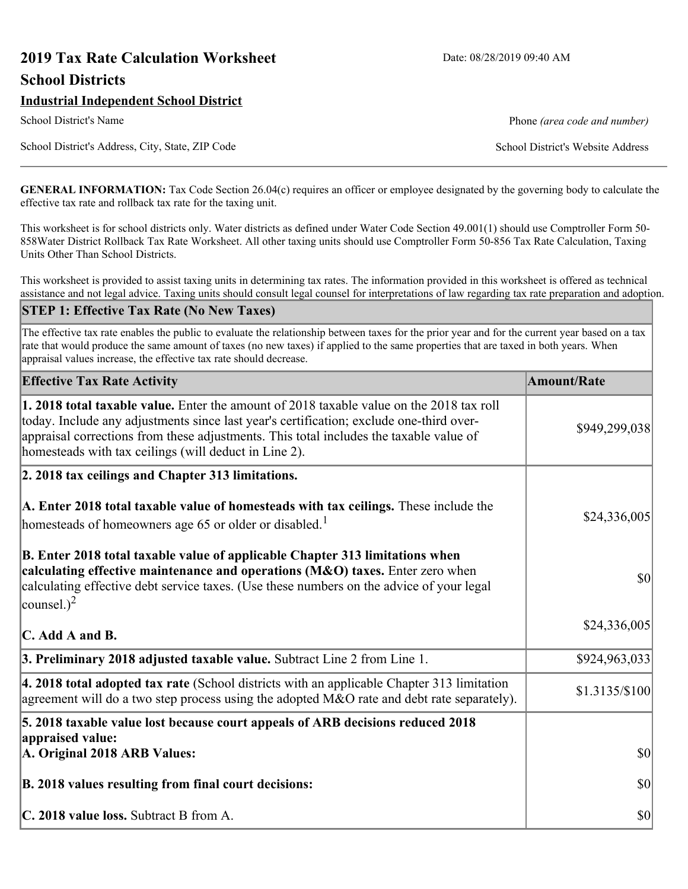# **2019 Tax Rate Calculation Worksheet** Date: 08/28/2019 09:40 AM **School Districts**

# **Industrial Independent School District**

School District's Address, City, State, ZIP Code School District's Website Address

School District's Name **Phone** *(area code and number)* Phone *(area code and number)* 

**GENERAL INFORMATION:** Tax Code Section 26.04(c) requires an officer or employee designated by the governing body to calculate the effective tax rate and rollback tax rate for the taxing unit.

This worksheet is for school districts only. Water districts as defined under Water Code Section 49.001(1) should use Comptroller Form 50- 858Water District Rollback Tax Rate Worksheet. All other taxing units should use Comptroller Form 50-856 Tax Rate Calculation, Taxing Units Other Than School Districts.

This worksheet is provided to assist taxing units in determining tax rates. The information provided in this worksheet is offered as technical assistance and not legal advice. Taxing units should consult legal counsel for interpretations of law regarding tax rate preparation and adoption.

### **STEP 1: Effective Tax Rate (No New Taxes)**

The effective tax rate enables the public to evaluate the relationship between taxes for the prior year and for the current year based on a tax rate that would produce the same amount of taxes (no new taxes) if applied to the same properties that are taxed in both years. When appraisal values increase, the effective tax rate should decrease.

| <b>Effective Tax Rate Activity</b>                                                                                                                                                                                                                                                                                                            | <b>Amount/Rate</b> |
|-----------------------------------------------------------------------------------------------------------------------------------------------------------------------------------------------------------------------------------------------------------------------------------------------------------------------------------------------|--------------------|
| <b>1. 2018 total taxable value.</b> Enter the amount of 2018 taxable value on the 2018 tax roll<br>today. Include any adjustments since last year's certification; exclude one-third over-<br>appraisal corrections from these adjustments. This total includes the taxable value of<br>homesteads with tax ceilings (will deduct in Line 2). | \$949,299,038      |
| 2. 2018 tax ceilings and Chapter 313 limitations.                                                                                                                                                                                                                                                                                             |                    |
| A. Enter 2018 total taxable value of homesteads with tax ceilings. These include the<br>homesteads of homeowners age 65 or older or disabled. <sup>1</sup>                                                                                                                                                                                    | \$24,336,005       |
| B. Enter 2018 total taxable value of applicable Chapter 313 limitations when<br>calculating effective maintenance and operations (M&O) taxes. Enter zero when<br>calculating effective debt service taxes. (Use these numbers on the advice of your legal<br>counsel.) <sup>2</sup>                                                           | \$0                |
| $\mathbf C$ . Add A and B.                                                                                                                                                                                                                                                                                                                    | \$24,336,005       |
| 3. Preliminary 2018 adjusted taxable value. Subtract Line 2 from Line 1.                                                                                                                                                                                                                                                                      | \$924,963,033      |
| 4. 2018 total adopted tax rate (School districts with an applicable Chapter 313 limitation<br>agreement will do a two step process using the adopted $M&O$ rate and debt rate separately).                                                                                                                                                    | \$1.3135/S100      |
| 5. 2018 taxable value lost because court appeals of ARB decisions reduced 2018                                                                                                                                                                                                                                                                |                    |
| appraised value:<br>A. Original 2018 ARB Values:                                                                                                                                                                                                                                                                                              | $ 10\rangle$       |
| B. 2018 values resulting from final court decisions:                                                                                                                                                                                                                                                                                          | $ 10\rangle$       |
| C. 2018 value loss. Subtract B from A.                                                                                                                                                                                                                                                                                                        | $ 10\rangle$       |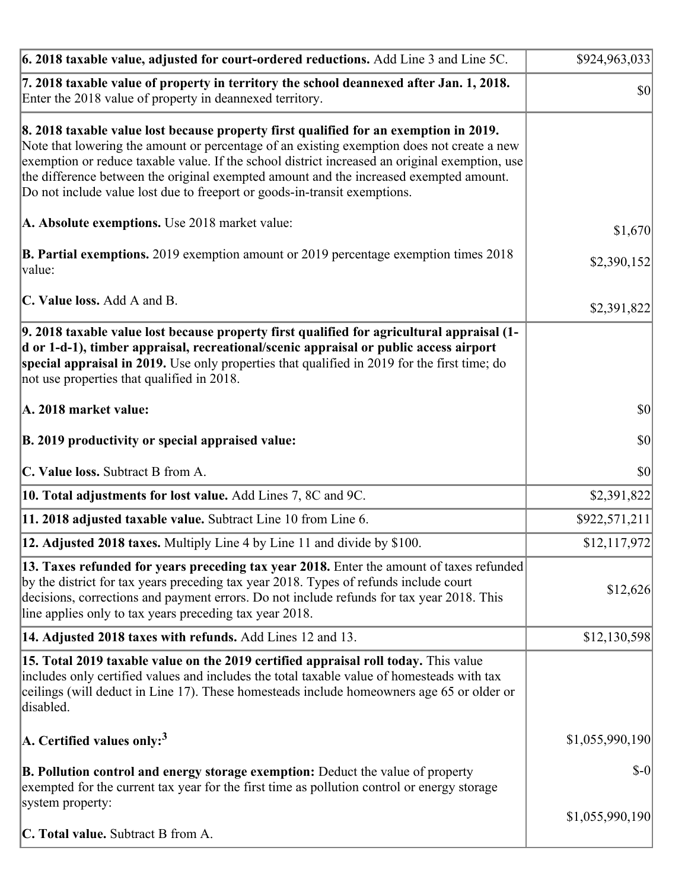| $\vert$ 6. 2018 taxable value, adjusted for court-ordered reductions. Add Line 3 and Line 5C.                                                                                                                                                                                                                                                                                                                                                                | \$924,963,033   |
|--------------------------------------------------------------------------------------------------------------------------------------------------------------------------------------------------------------------------------------------------------------------------------------------------------------------------------------------------------------------------------------------------------------------------------------------------------------|-----------------|
| 7. 2018 taxable value of property in territory the school deannexed after Jan. 1, 2018.<br>Enter the 2018 value of property in deannexed territory.                                                                                                                                                                                                                                                                                                          | \$0             |
| 8. 2018 taxable value lost because property first qualified for an exemption in 2019.<br>Note that lowering the amount or percentage of an existing exemption does not create a new<br>exemption or reduce taxable value. If the school district increased an original exemption, use<br>the difference between the original exempted amount and the increased exempted amount.<br>Do not include value lost due to freeport or goods-in-transit exemptions. |                 |
| A. Absolute exemptions. Use 2018 market value:                                                                                                                                                                                                                                                                                                                                                                                                               | \$1,670         |
| <b>B. Partial exemptions.</b> 2019 exemption amount or 2019 percentage exemption times 2018<br>value:                                                                                                                                                                                                                                                                                                                                                        | \$2,390,152     |
| C. Value loss. Add A and B.                                                                                                                                                                                                                                                                                                                                                                                                                                  | \$2,391,822     |
| 9. 2018 taxable value lost because property first qualified for agricultural appraisal (1-<br>d or 1-d-1), timber appraisal, recreational/scenic appraisal or public access airport<br>special appraisal in 2019. Use only properties that qualified in 2019 for the first time; do<br>not use properties that qualified in 2018.                                                                                                                            |                 |
| A. 2018 market value:                                                                                                                                                                                                                                                                                                                                                                                                                                        | $ 10\rangle$    |
| B. 2019 productivity or special appraised value:                                                                                                                                                                                                                                                                                                                                                                                                             | \$0             |
| C. Value loss. Subtract B from A.                                                                                                                                                                                                                                                                                                                                                                                                                            | \$0             |
| 10. Total adjustments for lost value. Add Lines 7, 8C and 9C.                                                                                                                                                                                                                                                                                                                                                                                                | \$2,391,822     |
| 11. 2018 adjusted taxable value. Subtract Line 10 from Line 6.                                                                                                                                                                                                                                                                                                                                                                                               | \$922,571,211   |
| 12. Adjusted 2018 taxes. Multiply Line 4 by Line 11 and divide by \$100.                                                                                                                                                                                                                                                                                                                                                                                     | \$12,117,972    |
| 13. Taxes refunded for years preceding tax year 2018. Enter the amount of taxes refunded<br>by the district for tax years preceding tax year 2018. Types of refunds include court<br>decisions, corrections and payment errors. Do not include refunds for tax year 2018. This<br>line applies only to tax years preceding tax year 2018.                                                                                                                    | \$12,626        |
| 14. Adjusted 2018 taxes with refunds. Add Lines 12 and 13.                                                                                                                                                                                                                                                                                                                                                                                                   | \$12,130,598    |
| 15. Total 2019 taxable value on the 2019 certified appraisal roll today. This value<br>includes only certified values and includes the total taxable value of homesteads with tax<br>ceilings (will deduct in Line 17). These homesteads include homeowners age 65 or older or<br>disabled.                                                                                                                                                                  |                 |
| A. Certified values only: <sup>3</sup>                                                                                                                                                                                                                                                                                                                                                                                                                       | \$1,055,990,190 |
| <b>B. Pollution control and energy storage exemption:</b> Deduct the value of property<br>exempted for the current tax year for the first time as pollution control or energy storage<br>system property:                                                                                                                                                                                                                                                    | $S-0$           |
| <b>C. Total value.</b> Subtract B from A.                                                                                                                                                                                                                                                                                                                                                                                                                    | \$1,055,990,190 |
|                                                                                                                                                                                                                                                                                                                                                                                                                                                              |                 |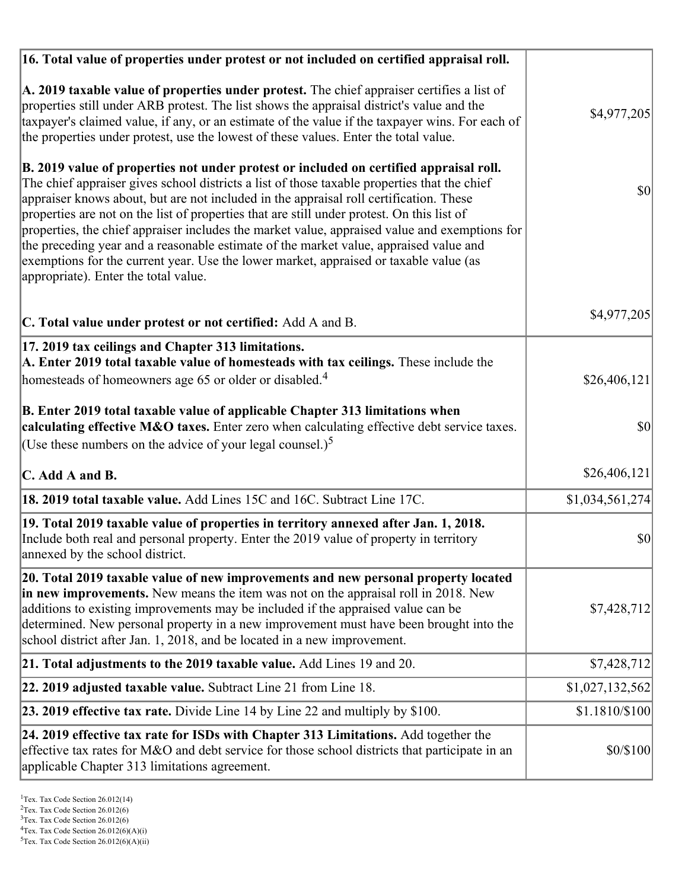| 16. Total value of properties under protest or not included on certified appraisal roll.                                                                                                                                                                                                                                                                                                                                                                                                                                                                                                                                                                                                                  |                 |
|-----------------------------------------------------------------------------------------------------------------------------------------------------------------------------------------------------------------------------------------------------------------------------------------------------------------------------------------------------------------------------------------------------------------------------------------------------------------------------------------------------------------------------------------------------------------------------------------------------------------------------------------------------------------------------------------------------------|-----------------|
| A. 2019 taxable value of properties under protest. The chief appraiser certifies a list of<br>properties still under ARB protest. The list shows the appraisal district's value and the<br>taxpayer's claimed value, if any, or an estimate of the value if the taxpayer wins. For each of<br>the properties under protest, use the lowest of these values. Enter the total value.                                                                                                                                                                                                                                                                                                                        | \$4,977,205     |
| B. 2019 value of properties not under protest or included on certified appraisal roll.<br>The chief appraiser gives school districts a list of those taxable properties that the chief<br>appraiser knows about, but are not included in the appraisal roll certification. These<br>properties are not on the list of properties that are still under protest. On this list of<br>properties, the chief appraiser includes the market value, appraised value and exemptions for<br>the preceding year and a reasonable estimate of the market value, appraised value and<br>exemptions for the current year. Use the lower market, appraised or taxable value (as<br>appropriate). Enter the total value. | 30              |
| C. Total value under protest or not certified: Add A and B.                                                                                                                                                                                                                                                                                                                                                                                                                                                                                                                                                                                                                                               | \$4,977,205     |
| 17. 2019 tax ceilings and Chapter 313 limitations.<br>A. Enter 2019 total taxable value of homesteads with tax ceilings. These include the<br>homesteads of homeowners age 65 or older or disabled. <sup>4</sup>                                                                                                                                                                                                                                                                                                                                                                                                                                                                                          | \$26,406,121]   |
|                                                                                                                                                                                                                                                                                                                                                                                                                                                                                                                                                                                                                                                                                                           |                 |
| B. Enter 2019 total taxable value of applicable Chapter 313 limitations when<br>calculating effective M&O taxes. Enter zero when calculating effective debt service taxes.                                                                                                                                                                                                                                                                                                                                                                                                                                                                                                                                | \$0             |
| (Use these numbers on the advice of your legal counsel.) <sup>5</sup>                                                                                                                                                                                                                                                                                                                                                                                                                                                                                                                                                                                                                                     |                 |
| C. Add A and B.                                                                                                                                                                                                                                                                                                                                                                                                                                                                                                                                                                                                                                                                                           | \$26,406,121    |
| 18. 2019 total taxable value. Add Lines 15C and 16C. Subtract Line 17C.                                                                                                                                                                                                                                                                                                                                                                                                                                                                                                                                                                                                                                   | \$1,034,561,274 |
| 19. Total 2019 taxable value of properties in territory annexed after Jan. 1, 2018.<br>Include both real and personal property. Enter the 2019 value of property in territory<br>annexed by the school district.                                                                                                                                                                                                                                                                                                                                                                                                                                                                                          | \$0             |
| 20. Total 2019 taxable value of new improvements and new personal property located<br>in new improvements. New means the item was not on the appraisal roll in 2018. New<br>additions to existing improvements may be included if the appraised value can be<br>determined. New personal property in a new improvement must have been brought into the<br>school district after Jan. 1, 2018, and be located in a new improvement.                                                                                                                                                                                                                                                                        | \$7,428,712     |
| 21. Total adjustments to the 2019 taxable value. Add Lines 19 and 20.                                                                                                                                                                                                                                                                                                                                                                                                                                                                                                                                                                                                                                     | \$7,428,712     |
| 22. 2019 adjusted taxable value. Subtract Line 21 from Line 18.                                                                                                                                                                                                                                                                                                                                                                                                                                                                                                                                                                                                                                           | \$1,027,132,562 |
| 23. 2019 effective tax rate. Divide Line 14 by Line 22 and multiply by \$100.                                                                                                                                                                                                                                                                                                                                                                                                                                                                                                                                                                                                                             | \$1.1810/\$100  |
| 24. 2019 effective tax rate for ISDs with Chapter 313 Limitations. Add together the<br>effective tax rates for M&O and debt service for those school districts that participate in an<br>applicable Chapter 313 limitations agreement.                                                                                                                                                                                                                                                                                                                                                                                                                                                                    | \$0/\$100       |

 $2$ Tex. Tax Code Section 26.012(6)

<sup>&</sup>lt;sup>3</sup>Tex. Tax Code Section 26.012(6)

 ${}^{4}$ Tex. Tax Code Section 26.012(6)(A)(i)

 $5$ Tex. Tax Code Section 26.012(6)(A)(ii)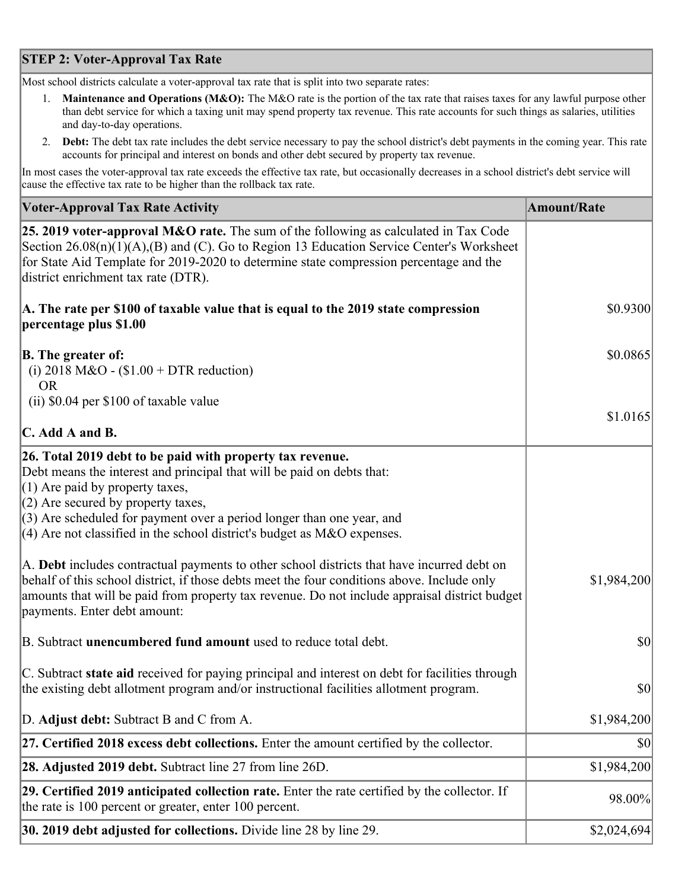# **STEP 2: Voter-Approval Tax Rate**

Most school districts calculate a voter-approval tax rate that is split into two separate rates:

- 1. **Maintenance and Operations (M&O):** The M&O rate is the portion of the tax rate that raises taxes for any lawful purpose other than debt service for which a taxing unit may spend property tax revenue. This rate accounts for such things as salaries, utilities and day-to-day operations.
- 2. **Debt:** The debt tax rate includes the debt service necessary to pay the school district's debt payments in the coming year. This rate accounts for principal and interest on bonds and other debt secured by property tax revenue.

In most cases the voter-approval tax rate exceeds the effective tax rate, but occasionally decreases in a school district's debt service will cause the effective tax rate to be higher than the rollback tax rate.

| <b>Voter-Approval Tax Rate Activity</b>                                                                                                                                                                                                                                                                                                                                  | <b>Amount/Rate</b> |
|--------------------------------------------------------------------------------------------------------------------------------------------------------------------------------------------------------------------------------------------------------------------------------------------------------------------------------------------------------------------------|--------------------|
| <b>25. 2019 voter-approval M&amp;O rate.</b> The sum of the following as calculated in Tax Code<br>Section 26.08(n)(1)(A),(B) and (C). Go to Region 13 Education Service Center's Worksheet<br>for State Aid Template for 2019-2020 to determine state compression percentage and the<br>district enrichment tax rate (DTR).                                             |                    |
| A. The rate per \$100 of taxable value that is equal to the 2019 state compression<br>percentage plus \$1.00                                                                                                                                                                                                                                                             | \$0.9300           |
| <b>B.</b> The greater of:<br>(i) 2018 M&O - $$1.00 + DTR$ reduction)<br><b>OR</b>                                                                                                                                                                                                                                                                                        | \$0.0865           |
| (ii) \$0.04 per \$100 of taxable value                                                                                                                                                                                                                                                                                                                                   |                    |
| $\mathbf C$ . Add A and B.                                                                                                                                                                                                                                                                                                                                               | \$1.0165           |
| 26. Total 2019 debt to be paid with property tax revenue.<br>Debt means the interest and principal that will be paid on debts that:<br>$(1)$ Are paid by property taxes,<br>$(2)$ Are secured by property taxes,<br>$(3)$ Are scheduled for payment over a period longer than one year, and<br>$(4)$ Are not classified in the school district's budget as M&O expenses. |                    |
| A. Debt includes contractual payments to other school districts that have incurred debt on<br>behalf of this school district, if those debts meet the four conditions above. Include only<br>amounts that will be paid from property tax revenue. Do not include appraisal district budget<br>payments. Enter debt amount:                                               | \$1,984,200        |
| B. Subtract <b>unencumbered fund amount</b> used to reduce total debt.                                                                                                                                                                                                                                                                                                   | $ 10\rangle$       |
| C. Subtract state aid received for paying principal and interest on debt for facilities through<br>the existing debt allotment program and/or instructional facilities allotment program.                                                                                                                                                                                | \$0                |
| D. Adjust debt: Subtract B and C from A.                                                                                                                                                                                                                                                                                                                                 | \$1,984,200        |
| $ 27$ . Certified 2018 excess debt collections. Enter the amount certified by the collector.                                                                                                                                                                                                                                                                             | \$0                |
| <b>28. Adjusted 2019 debt.</b> Subtract line 27 from line 26D.                                                                                                                                                                                                                                                                                                           | \$1,984,200        |
| 29. Certified 2019 anticipated collection rate. Enter the rate certified by the collector. If<br>the rate is 100 percent or greater, enter 100 percent.                                                                                                                                                                                                                  | 98.00%             |
| <b>30. 2019 debt adjusted for collections.</b> Divide line 28 by line 29.                                                                                                                                                                                                                                                                                                | \$2,024,694        |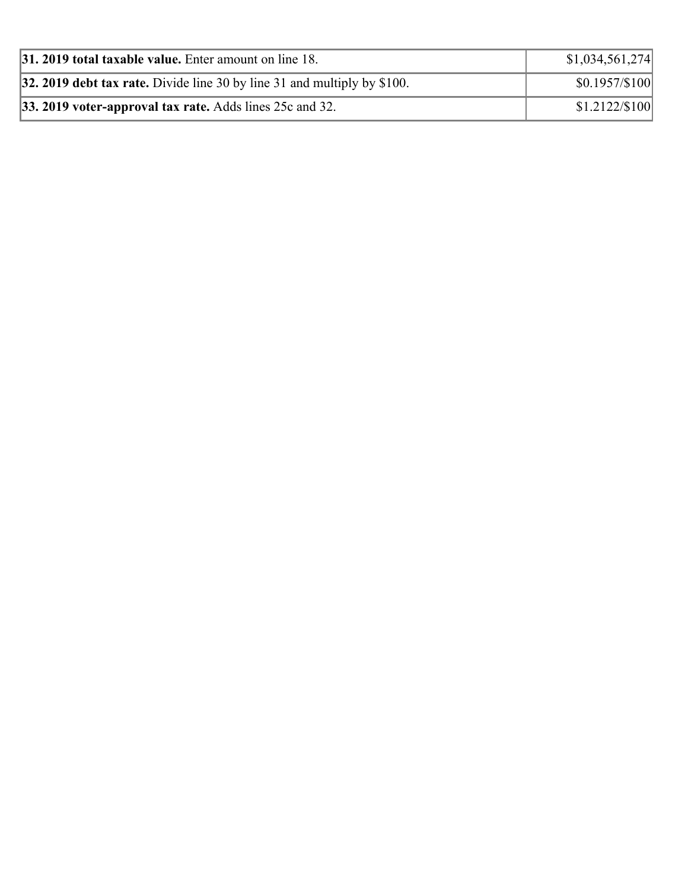| $ 31, 2019$ total taxable value. Enter amount on line 18.                  | \$1,034,561,274      |
|----------------------------------------------------------------------------|----------------------|
| 32. 2019 debt tax rate. Divide line 30 by line 31 and multiply by $$100$ . | $$0.1957/\$100$      |
| 33. 2019 voter-approval tax rate. Adds lines 25c and 32.                   | $$1.2122 \times 100$ |